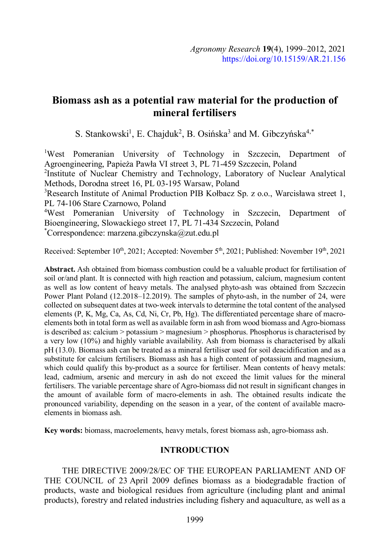# **Biomass ash as a potential raw material for the production of mineral fertilisers**

S. Stankowski<sup>1</sup>, E. Chajduk<sup>2</sup>, B. Osińska<sup>3</sup> and M. Gibczyńska<sup>4,\*</sup>

<sup>1</sup>West Pomeranian University of Technology in Szczecin, Department of Agroengineering, Papieża Pawła VI street 3, PL 71-459 Szczecin, Poland <sup>2</sup>Institute of Nuclear Chemistry and Technology, Laboratory of Nuclear Analytical Methods, Dorodna street 16, PL 03-195 Warsaw, Poland <sup>3</sup>Research Institute of Animal Production PIB Kołbacz Sp. z o.o., Warcisława street 1, PL 74-106 Stare Czarnowo, Poland <sup>4</sup>West Pomeranian University of Technology in Szczecin, Department of Bioengineering, Slowackiego street 17, PL 71-434 Szczecin, Poland

\*Correspondence: marzena.gibczynska@zut.edu.pl

Received: September  $10^{th}$ , 2021; Accepted: November  $5^{th}$ , 2021; Published: November  $19^{th}$ , 2021

**Abstract.** Ash obtained from biomass combustion could be a valuable product for fertilisation of soil or/and plant. It is connected with high reaction and potassium, calcium, magnesium content as well as low content of heavy metals. The analysed phyto-ash was obtained from Szczecin Power Plant Poland (12.2018–12.2019). The samples of phyto-ash, in the number of 24, were collected on subsequent dates at two-week intervals to determine the total content of the analysed elements (P, K, Mg, Ca, As, Cd, Ni, Cr, Pb, Hg). The differentiated percentage share of macroelements both in total form as well as available form in ash from wood biomass and Agro-biomass is described as: calcium > potassium > magnesium > phosphorus. Phosphorus is characterised by a very low (10%) and highly variable availability. Ash from biomass is characterised by alkali pH (13.0). Biomass ash can be treated as a mineral fertiliser used for soil deacidification and as a substitute for calcium fertilisers. Biomass ash has a high content of potassium and magnesium, which could qualify this by-product as a source for fertiliser. Mean contents of heavy metals: lead, cadmium, arsenic and mercury in ash do not exceed the limit values for the mineral fertilisers. The variable percentage share of Agro-biomass did not result in significant changes in the amount of available form of macro-elements in ash. The obtained results indicate the pronounced variability, depending on the season in a year, of the content of available macroelements in biomass ash.

**Key words:** biomass, macroelements, heavy metals, forest biomass ash, agro-biomass ash.

# **INTRODUCTION**

THE DIRECTIVE 2009/28/EC OF THE EUROPEAN PARLIAMENT AND OF THE COUNCIL of 23 April 2009 defines biomass as a biodegradable fraction of products, waste and biological residues from agriculture (including plant and animal products), forestry and related industries including fishery and aquaculture, as well as a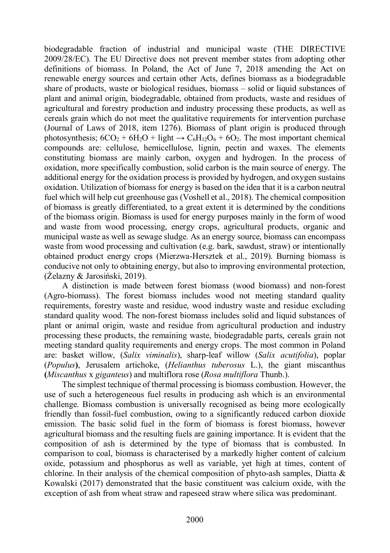biodegradable fraction of industrial and municipal waste (THE DIRECTIVE 2009/28/EC). The EU Directive does not prevent member states from adopting other definitions of biomass. In Poland, the Act of June 7, 2018 amending the Act on renewable energy sources and certain other Acts, defines biomass as a biodegradable share of products, waste or biological residues, biomass – solid or liquid substances of plant and animal origin, biodegradable, obtained from products, waste and residues of agricultural and forestry production and industry processing these products, as well as cereals grain which do not meet the qualitative requirements for intervention purchase (Journal of Laws of 2018, item 1276). Biomass of plant origin is produced through photosynthesis;  $6CO_2 + 6H_2O + 1$ ight  $\rightarrow C_6H_{12}O_6 + 6O_2$ . The most important chemical compounds are: cellulose, hemicellulose, lignin, pectin and waxes. The elements constituting biomass are mainly carbon, oxygen and hydrogen. In the process of oxidation, more specifically combustion, solid carbon is the main source of energy. The additional energy for the oxidation process is provided by hydrogen, and oxygen sustains oxidation. Utilization of biomass for energy is based on the idea that it is a carbon neutral fuel which will help cut greenhouse gas (Voshell et al., 2018). The chemical composition of biomass is greatly differentiated, to a great extent it is determined by the conditions of the biomass origin. Biomass is used for energy purposes mainly in the form of wood and waste from wood processing, energy crops, agricultural products, organic and municipal waste as well as sewage sludge. As an energy source, biomass can encompass waste from wood processing and cultivation (e.g. bark, sawdust, straw) or intentionally obtained product energy crops (Mierzwa-Hersztek et al., 2019). Burning biomass is conducive not only to obtaining energy, but also to improving environmental protection, (Żelazny & Jarosiński, 2019).

A distinction is made between forest biomass (wood biomass) and non-forest (Agro-biomass). The forest biomass includes wood not meeting standard quality requirements, forestry waste and residue, wood industry waste and residue excluding standard quality wood. The non-forest biomass includes solid and liquid substances of plant or animal origin, waste and residue from agricultural production and industry processing these products, the remaining waste, biodegradable parts, cereals grain not meeting standard quality requirements and energy crops. The most common in Poland are: basket willow, (*Salix viminalis*), sharp-leaf willow (*Salix acutifolia*), poplar (*Populus***)**, Jerusalem artichoke, (*Helianthus tuberosus* L.), the giant miscanthus **(***Miscanthus* x *giganteus*) and multiflora rose (*Rosa multiflora* Thunb.).

The simplest technique of thermal processing is biomass combustion. However, the use of such a heterogeneous fuel results in producing ash which is an environmental challenge. Biomass combustion is universally recognised as being more ecologically friendly than fossil-fuel combustion, owing to a significantly reduced carbon dioxide emission. The basic solid fuel in the form of biomass is forest biomass, however agricultural biomass and the resulting fuels are gaining importance. It is evident that the composition of ash is determined by the type of biomass that is combusted. In comparison to coal, biomass is characterised by a markedly higher content of calcium oxide, potassium and phosphorus as well as variable, yet high at times, content of chlorine. In their analysis of the chemical composition of phyto-ash samples, Diatta & Kowalski (2017) demonstrated that the basic constituent was calcium oxide, with the exception of ash from wheat straw and rapeseed straw where silica was predominant.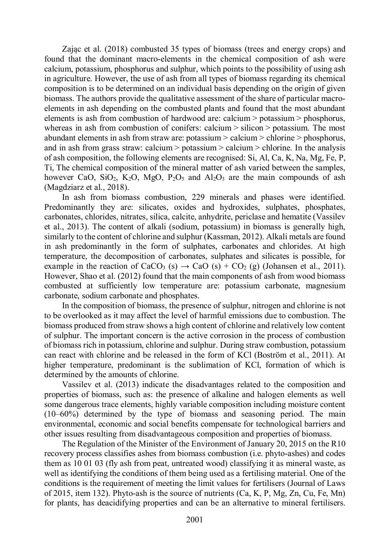Zając et al. (2018) combusted 35 types of biomass (trees and energy crops) and found that the dominant macro-elements in the chemical composition of ash were calcium, potassium, phosphorus and sulphur, which points to the possibility of using ash in agriculture. However, the use of ash from all types of biomass regarding its chemical composition is to be determined on an individual basis depending on the origin of given biomass. The authors provide the qualitative assessment of the share of particular macroelements in ash depending on the combusted plants and found that the most abundant elements is ash from combustion of hardwood are: calcium > potassium > phosphorus, whereas in ash from combustion of conifers: calcium > silicon > potassium. The most abundant elements in ash from straw are: potassium > calcium > chlorine > phosphorus, and in ash from grass straw: calcium > potassium > calcium > chlorine. In the analysis of ash composition, the following elements are recognised: Si, Al, Ca, K, Na, Mg, Fe, P, Ti, The chemical composition of the mineral matter of ash varied between the samples, however CaO, SiO<sub>2</sub>, K<sub>2</sub>O, MgO, P<sub>2</sub>O<sub>5</sub> and Al<sub>2</sub>O<sub>3</sub> are the main compounds of ash (Magdziarz et al., 2018).

In ash from biomass combustion, 229 minerals and phases were identified. Predominantly they are: silicates, oxides and hydroxides, sulphates, phosphates, carbonates, chlorides, nitrates, silica, calcite, anhydrite, periclase and hematite (Vassilev et al., 2013). The content of alkali (sodium, potassium) in biomass is generally high, similarly to the content of chlorine and sulphur (Kassman, 2012). Alkali metals are found in ash predominantly in the form of sulphates, carbonates and chlorides. At high temperature, the decomposition of carbonates, sulphates and silicates is possible, for example in the reaction of CaCO<sub>3</sub> (s)  $\rightarrow$  CaO (s) + CO<sub>2</sub> (g) (Johansen et al., 2011). However, Shao et al. (2012) found that the main components of ash from wood biomass combusted at sufficiently low temperature are: potassium carbonate, magnesium carbonate, sodium carbonate and phosphates.

In the composition of biomass, the presence of sulphur, nitrogen and chlorine is not to be overlooked as it may affect the level of harmful emissions due to combustion. The biomass produced from straw shows a high content of chlorine and relatively low content of sulphur. The important concern is the active corrosion in the process of combustion of biomass rich in potassium, chlorine and sulphur. During straw combustion, potassium can react with chlorine and be released in the form of KCl (Boström et al., 2011). At higher temperature, predominant is the sublimation of KCl, formation of which is determined by the amounts of chlorine.

Vassilev et al. (2013) indicate the disadvantages related to the composition and properties of biomass, such as: the presence of alkaline and halogen elements as well some dangerous trace elements, highly variable composition including moisture content (10–60%) determined by the type of biomass and seasoning period. The main environmental, economic and social benefits compensate for technological barriers and other issues resulting from disadvantageous composition and properties of biomass.

The Regulation of the Minister of the Environment of January 20, 2015 on the R10 recovery process classifies ashes from biomass combustion (i.e. phyto-ashes) and codes them as 10 01 03 (fly ash from peat, untreated wood) classifying it as mineral waste, as well as identifying the conditions of them being used as a fertilising material. One of the conditions is the requirement of meeting the limit values for fertilisers (Journal of Laws of 2015, item 132). Phyto-ash is the source of nutrients (Ca, K, P, Mg, Zn, Cu, Fe, Mn) for plants, has deacidifying properties and can be an alternative to mineral fertilisers.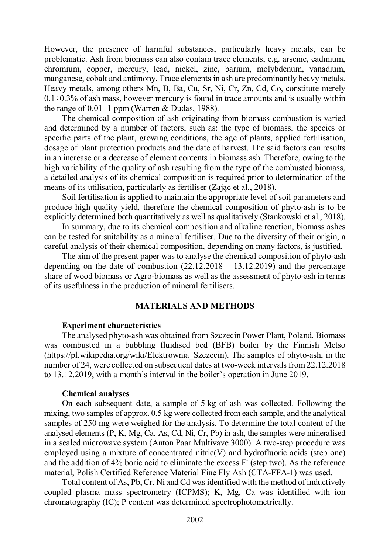However, the presence of harmful substances, particularly heavy metals, can be problematic. Ash from biomass can also contain trace elements, e.g. arsenic, cadmium, chromium, copper, mercury, lead, nickel, zinc, barium, molybdenum, vanadium, manganese, cobalt and antimony. Trace elements in ash are predominantly heavy metals. Heavy metals, among others Mn, B, Ba, Cu, Sr, Ni, Cr, Zn, Cd, Co, constitute merely  $0.1\div0.3\%$  of ash mass, however mercury is found in trace amounts and is usually within the range of  $0.01\div 1$  ppm (Warren & Dudas, 1988).

The chemical composition of ash originating from biomass combustion is varied and determined by a number of factors, such as: the type of biomass, the species or specific parts of the plant, growing conditions, the age of plants, applied fertilisation, dosage of plant protection products and the date of harvest. The said factors can results in an increase or a decrease of element contents in biomass ash. Therefore, owing to the high variability of the quality of ash resulting from the type of the combusted biomass, a detailed analysis of its chemical composition is required prior to determination of the means of its utilisation, particularly as fertiliser (Zając et al., 2018).

Soil fertilisation is applied to maintain the appropriate level of soil parameters and produce high quality yield, therefore the chemical composition of phyto-ash is to be explicitly determined both quantitatively as well as qualitatively (Stankowski et al., 2018).

In summary, due to its chemical composition and alkaline reaction, biomass ashes can be tested for suitability as a mineral fertiliser. Due to the diversity of their origin, a careful analysis of their chemical composition, depending on many factors, is justified.

The aim of the present paper was to analyse the chemical composition of phyto-ash depending on the date of combustion  $(22.12.2018 - 13.12.2019)$  and the percentage share of wood biomass or Agro-biomass as well as the assessment of phyto-ash in terms of its usefulness in the production of mineral fertilisers.

## **MATERIALS AND METHODS**

#### **Experiment characteristics**

The analysed phyto-ash was obtained from Szczecin Power Plant, Poland. Biomass was combusted in a bubbling fluidised bed (BFB) boiler by the Finnish Metso (https://pl.wikipedia.org/wiki/Elektrownia\_Szczecin). The samples of phyto-ash, in the number of 24, were collected on subsequent dates at two-week intervals from 22.12.2018 to 13.12.2019, with a month's interval in the boiler's operation in June 2019.

## **Chemical analyses**

On each subsequent date, a sample of 5 kg of ash was collected. Following the mixing, two samples of approx. 0.5 kg were collected from each sample, and the analytical samples of 250 mg were weighed for the analysis. To determine the total content of the analysed elements (P, K, Mg, Ca, As, Cd, Ni, Cr, Pb) in ash, the samples were mineralised in a sealed microwave system (Anton Paar Multivave 3000). A two-step procedure was employed using a mixture of concentrated nitric(V) and hydrofluoric acids (step one) and the addition of  $4\%$  boric acid to eliminate the excess  $F^{\dagger}$  (step two). As the reference material, Polish Certified Reference Material Fine Fly Ash (CTA-FFA-1) was used.

Total content of As, Pb, Cr, Ni and Cd was identified with the method of inductively coupled plasma mass spectrometry (ICPMS); K, Mg, Ca was identified with ion chromatography (IC); P content was determined spectrophotometrically.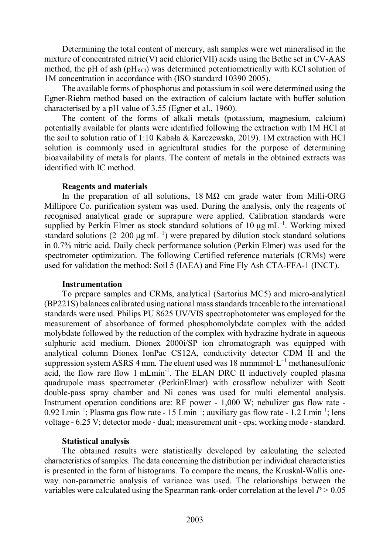Determining the total content of mercury, ash samples were wet mineralised in the mixture of concentrated nitric(V) acid chloric(VII) acids using the Bethe set in CV-AAS method, the pH of ash ( $pH_{KCl}$ ) was determined potentiometrically with KCl solution of 1M concentration in accordance with (ISO standard 10390 2005).

The available forms of phosphorus and potassium in soil were determined using the Egner-Riehm method based on the extraction of calcium lactate with buffer solution characterised by a pH value of 3.55 (Egner et al., 1960).

The content of the forms of alkali metals (potassium, magnesium, calcium) potentially available for plants were identified following the extraction with 1M HCl at the soil to solution ratio of 1:10 Kabała & Karczewska, 2019). 1M extraction with HCl solution is commonly used in agricultural studies for the purpose of determining bioavailability of metals for plants. The content of metals in the obtained extracts was identified with IC method.

#### **Reagents and materials**

In the preparation of all solutions,  $18 \text{ M}\Omega$  cm grade water from Milli-ORG Millipore Co. purification system was used. During the analysis, only the reagents of recognised analytical grade or suprapure were applied. Calibration standards were supplied by Perkin Elmer as stock standard solutions of 10  $\mu$ g mL<sup>-1</sup>. Working mixed standard solutions (2–200 μg mL<sup>-1</sup>) were prepared by dilution stock standard solutions in 0.7% nitric acid. Daily check performance solution (Perkin Elmer) was used for the spectrometer optimization. The following Certified reference materials (CRMs) were used for validation the method: Soil 5 (IAEA) and Fine Fly Ash CTA-FFA-1 (INCT).

## **Instrumentation**

To prepare samples and CRMs, analytical (Sartorius MC5) and micro-analytical (BP221S) balances calibrated using national mass standards traceable to the international standards were used. Philips PU 8625 UV/VIS spectrophotometer was employed for the measurement of absorbance of formed phosphomolybdate complex with the added molybdate followed by the reduction of the complex with hydrazine hydrate in aqueous sulphuric acid medium. Dionex 2000i/SP ion chromatograph was equipped with analytical column Dionex IonPac CS12A, conductivity detector CDM II and the suppression system ASRS 4 mm. The eluent used was 18 mmmmol· $L^{-1}$  methanesulfonic acid, the flow rare flow 1 mLmin-1. The ELAN DRC II inductively coupled plasma quadrupole mass spectrometer (PerkinElmer) with crossflow nebulizer with Scott double-pass spray chamber and Ni cones was used for multi elemental analysis. Instrument operation conditions are: RF power - 1,000 W; nebulizer gas flow rate - 0.92 Lmin<sup>-1</sup>; Plasma gas flow rate - 15 Lmin<sup>-1</sup>; auxiliary gas flow rate - 1.2 Lmin<sup>-1</sup>; lens voltage - 6.25 V; detector mode - dual; measurement unit - cps; working mode - standard.

## **Statistical analysis**

The obtained results were statistically developed by calculating the selected characteristics of samples. The data concerning the distribution per individual characteristics is presented in the form of histograms. To compare the means, the Kruskal-Wallis oneway non-parametric analysis of variance was used. The relationships between the variables were calculated using the Spearman rank-order correlation at the level *P* > 0.05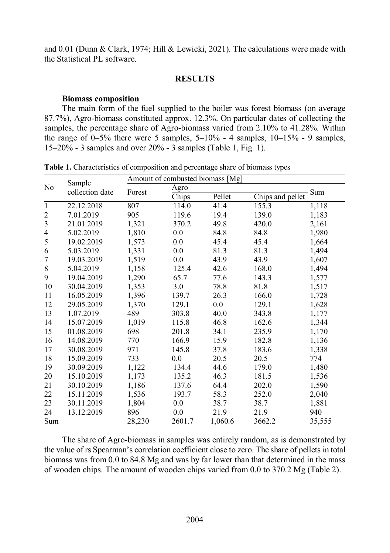and 0.01 (Dunn & Clark, 1974; Hill & Lewicki, 2021). The calculations were made with the Statistical PL software.

# **RESULTS**

## **Biomass composition**

The main form of the fuel supplied to the boiler was forest biomass (on average 87.7%), Agro-biomass constituted approx. 12.3%. On particular dates of collecting the samples, the percentage share of Agro-biomass varied from 2.10% to 41.28%. Within the range of 0–5% there were 5 samples,  $5-10%$  - 4 samples,  $10-15%$  - 9 samples, 15–20% - 3 samples and over 20% - 3 samples (Table 1, Fig. 1).

| No             | Sample<br>collection date | Amount of combusted biomass [Mg] |        |         |                  |        |  |  |  |
|----------------|---------------------------|----------------------------------|--------|---------|------------------|--------|--|--|--|
|                |                           | Forest                           | Agro   |         |                  | Sum    |  |  |  |
|                |                           |                                  | Chips  | Pellet  | Chips and pellet |        |  |  |  |
| $\mathbf{1}$   | 22.12.2018                | 807                              | 114.0  | 41.4    | 155.3            | 1,118  |  |  |  |
| $\overline{2}$ | 7.01.2019                 | 905                              | 119.6  | 19.4    | 139.0            | 1,183  |  |  |  |
| $\mathfrak{Z}$ | 21.01.2019                | 1,321                            | 370.2  | 49.8    | 420.0            | 2,161  |  |  |  |
| 4              | 5.02.2019                 | 1,810                            | 0.0    | 84.8    | 84.8             | 1,980  |  |  |  |
| 5              | 19.02.2019                | 1,573                            | 0.0    | 45.4    | 45.4             | 1,664  |  |  |  |
| 6              | 5.03.2019                 | 1,331                            | 0.0    | 81.3    | 81.3             | 1,494  |  |  |  |
| 7              | 19.03.2019                | 1,519                            | 0.0    | 43.9    | 43.9             | 1,607  |  |  |  |
| $8\,$          | 5.04.2019                 | 1,158                            | 125.4  | 42.6    | 168.0            | 1,494  |  |  |  |
| 9              | 19.04.2019                | 1,290                            | 65.7   | 77.6    | 143.3            | 1,577  |  |  |  |
| 10             | 30.04.2019                | 1,353                            | 3.0    | 78.8    | 81.8             | 1,517  |  |  |  |
| 11             | 16.05.2019                | 1,396                            | 139.7  | 26.3    | 166.0            | 1,728  |  |  |  |
| 12             | 29.05.2019                | 1,370                            | 129.1  | 0.0     | 129.1            | 1,628  |  |  |  |
| 13             | 1.07.2019                 | 489                              | 303.8  | 40.0    | 343.8            | 1,177  |  |  |  |
| 14             | 15.07.2019                | 1,019                            | 115.8  | 46.8    | 162.6            | 1,344  |  |  |  |
| 15             | 01.08.2019                | 698                              | 201.8  | 34.1    | 235.9            | 1,170  |  |  |  |
| 16             | 14.08.2019                | 770                              | 166.9  | 15.9    | 182.8            | 1,136  |  |  |  |
| 17             | 30.08.2019                | 971                              | 145.8  | 37.8    | 183.6            | 1,338  |  |  |  |
| 18             | 15.09.2019                | 733                              | 0.0    | 20.5    | 20.5             | 774    |  |  |  |
| 19             | 30.09.2019                | 1,122                            | 134.4  | 44.6    | 179.0            | 1,480  |  |  |  |
| 20             | 15.10.2019                | 1,173                            | 135.2  | 46.3    | 181.5            | 1,536  |  |  |  |
| 21             | 30.10.2019                | 1,186                            | 137.6  | 64.4    | 202.0            | 1,590  |  |  |  |
| 22             | 15.11.2019                | 1,536                            | 193.7  | 58.3    | 252.0            | 2,040  |  |  |  |
| 23             | 30.11.2019                | 1,804                            | 0.0    | 38.7    | 38.7             | 1,881  |  |  |  |
| 24             | 13.12.2019                | 896                              | 0.0    | 21.9    | 21.9             | 940    |  |  |  |
| Sum            |                           | 28,230                           | 2601.7 | 1,060.6 | 3662.2           | 35,555 |  |  |  |

**Table 1.** Characteristics of composition and percentage share of biomass types

The share of Agro-biomass in samples was entirely random, as is demonstrated by the value of rs Spearman's correlation coefficient close to zero. The share of pellets in total biomass was from 0.0 to 84.8 Mg and was by far lower than that determined in the mass of wooden chips. The amount of wooden chips varied from 0.0 to 370.2 Mg (Table 2).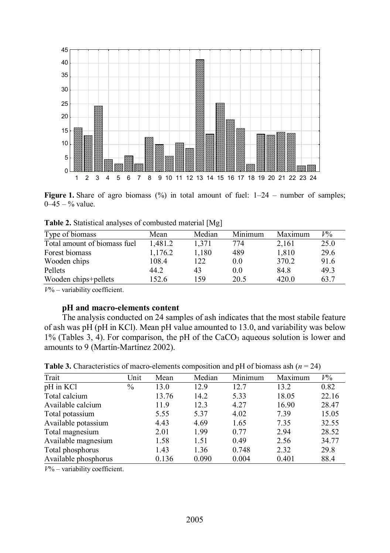

**Figure 1.** Share of agro biomass (%) in total amount of fuel:  $1-24$  – number of samples;  $0-45 - %$  value.

| Type of biomass              | Mean    | Median | Minimum | Maximum | $V\%$ |
|------------------------------|---------|--------|---------|---------|-------|
| Total amount of biomass fuel | 1.481.2 | 1.371  | 774     | 2,161   | 25.0  |
| Forest biomass               | 1,176.2 | 1.180  | 489     | 1,810   | 29.6  |
| Wooden chips                 | 108.4   | 122    | 0.0     | 370.2   | 91.6  |
| Pellets                      | 44.2    | 43     | 0.0     | 84.8    | 49.3  |
| Wooden chips+pellets         | 152.6   | 159    | 20.5    | 420.0   | 63.7  |

**Table 2.** Statistical analyses of combusted material [Mg]

*V*% – variability coefficient.

## **pH and macro-elements content**

The analysis conducted on 24 samples of ash indicates that the most stabile feature of ash was pH (pH in KCl). Mean pH value amounted to 13.0, and variability was below  $1\%$  (Tables 3, 4). For comparison, the pH of the CaCO<sub>3</sub> aqueous solution is lower and amounts to 9 (Martín-Martínez 2002).

| Trait                | Unit          | Mean  | Median | Minimum | Maximum | $V\%$ |
|----------------------|---------------|-------|--------|---------|---------|-------|
| pH in KCl            | $\frac{0}{0}$ | 13.0  | 12.9   | 12.7    | 13.2    | 0.82  |
| Total calcium        |               | 13.76 | 14.2   | 5.33    | 18.05   | 22.16 |
| Available calcium    |               | 11.9  | 12.3   | 4.27    | 16.90   | 28.47 |
| Total potassium      |               | 5.55  | 5.37   | 4.02    | 7.39    | 15.05 |
| Available potassium  |               | 4.43  | 4.69   | 1.65    | 7.35    | 32.55 |
| Total magnesium      |               | 2.01  | 1.99   | 0.77    | 2.94    | 28.52 |
| Available magnesium  |               | 1.58  | 1.51   | 0.49    | 2.56    | 34.77 |
| Total phosphorus     |               | 1.43  | 1.36   | 0.748   | 2.32    | 29.8  |
| Available phosphorus |               | 0.136 | 0.090  | 0.004   | 0.401   | 88.4  |

*V*% – variability coefficient.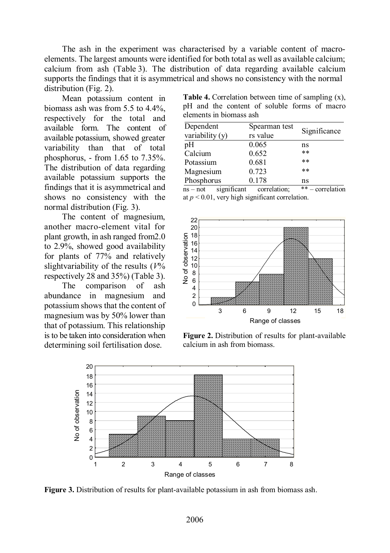The ash in the experiment was characterised by a variable content of macroelements. The largest amounts were identified for both total as well as available calcium; calcium from ash (Table 3). The distribution of data regarding available calcium supports the findings that it is asymmetrical and shows no consistency with the normal distribution (Fig. 2).

Mean potassium content in biomass ash was from 5.5 to 4.4%, respectively for the total and available form. The content of available potassium, showed greater variability than that of total phosphorus, - from 1.65 to 7.35%. The distribution of data regarding available potassium supports the findings that it is asymmetrical and shows no consistency with the normal distribution (Fig. 3).

The content of magnesium, another macro-element vital for plant growth, in ash ranged from2.0 to 2.9%, showed good availability for plants of 77% and relatively slightvariability of the results (*V*% respectively 28 and 35%) (Table 3).

The comparison of ash abundance in magnesium and potassium shows that the content of magnesium was by 50% lower than that of potassium. This relationship is to be taken into consideration when determining soil fertilisation dose.

**Table 4.** Correlation between time of sampling (x), pH and the content of soluble forms of macro elements in biomass ash

| Spearman test |              |  |  |
|---------------|--------------|--|--|
| rs value      | Significance |  |  |
| 0.065         | ns           |  |  |
| 0.652         | $***$        |  |  |
| 0.681         | $***$        |  |  |
| 0.723         | $***$        |  |  |
| 0.178         | ns           |  |  |
|               |              |  |  |

ns – not significant correlation; \*\* – correlation at  $p < 0.01$ , very high significant correlation.



**Figure 2.** Distribution of results for plant-available calcium in ash from biomass.



**Figure 3.** Distribution of results for plant-available potassium in ash from biomass ash.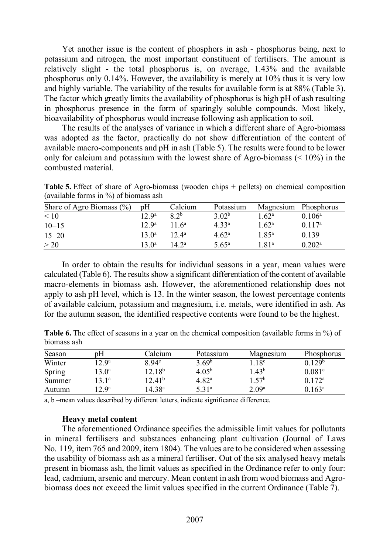Yet another issue is the content of phosphors in ash - phosphorus being, next to potassium and nitrogen, the most important constituent of fertilisers. The amount is relatively slight - the total phosphorus is, on average, 1.43% and the available phosphorus only 0.14%. However, the availability is merely at 10% thus it is very low and highly variable. The variability of the results for available form is at 88% (Table 3). The factor which greatly limits the availability of phosphorus is high pH of ash resulting in phosphorus presence in the form of sparingly soluble compounds. Most likely, bioavailability of phosphorus would increase following ash application to soil.

The results of the analyses of variance in which a different share of Agro-biomass was adopted as the factor, practically do not show differentiation of the content of available macro-components and pH in ash (Table 5). The results were found to be lower only for calcium and potassium with the lowest share of Agro-biomass  $\leq 10\%$  in the combusted material.

| Share of Agro Biomass $(\% )$ | pH                | Calcium         | Potassium         |                   | Magnesium Phosphorus |
|-------------------------------|-------------------|-----------------|-------------------|-------------------|----------------------|
| < 10                          | 12.9 <sup>a</sup> | 82 <sub>b</sub> | 3.02 <sup>b</sup> | $1.62^{\rm a}$    | $0.106^{\rm a}$      |
| $10 - 15$                     | 12.9 <sup>a</sup> | 11 $6^a$        | 4.33 <sup>a</sup> | $1.62^{\rm a}$    | $0.117^{\rm a}$      |
| $15 - 20$                     | $13 \; 0^a$       | $12.4^{\rm a}$  | 4.62 <sup>a</sup> | $1.85^{\rm a}$    | 0.139                |
| >20                           | $13.0^a$          | $14.2^{\rm a}$  | $5.65^{\rm a}$    | 1.81 <sup>a</sup> | $0.202^{\rm a}$      |

**Table 5.** Effect of share of Agro-biomass (wooden chips + pellets) on chemical composition (available forms in %) of biomass ash

In order to obtain the results for individual seasons in a year, mean values were calculated (Table 6). The results show a significant differentiation of the content of available macro-elements in biomass ash. However, the aforementioned relationship does not apply to ash pH level, which is 13. In the winter season, the lowest percentage contents of available calcium, potassium and magnesium, i.e. metals, were identified in ash. As for the autumn season, the identified respective contents were found to be the highest.

|             |  |  | Table 6. The effect of seasons in a year on the chemical composition (available forms in %) of |  |  |
|-------------|--|--|------------------------------------------------------------------------------------------------|--|--|
| biomass ash |  |  |                                                                                                |  |  |

| Season | pΗ                | Calcium            | Potassium           | Magnesium         | Phosphorus         |
|--------|-------------------|--------------------|---------------------|-------------------|--------------------|
| Winter | 2.9 <sup>a</sup>  | 8.94 <sup>c</sup>  | 3.69 <sup>b</sup>   | 1.18 <sup>c</sup> | 0.129 <sup>b</sup> |
| Spring | 3.0 <sup>a</sup>  | 12.18 <sup>b</sup> | 4.05 <sup>b</sup>   | 1.43 <sup>b</sup> | 0.081 <sup>c</sup> |
| Summer | 13.1 <sup>a</sup> | 12.41 <sup>b</sup> | $4.82^{\mathrm{a}}$ | 1.57 <sup>b</sup> | 0.172 <sup>a</sup> |
| Autumn | 2.9 <sup>a</sup>  | 14.38ª             | 5.31ª               | 2.09 <sup>a</sup> | $0.163^{\rm a}$    |

a, b –mean values described by different letters, indicate significance difference.

## **Heavy metal content**

The aforementioned Ordinance specifies the admissible limit values for pollutants in mineral fertilisers and substances enhancing plant cultivation (Journal of Laws No. 119, item 765 and 2009, item 1804). The values are to be considered when assessing the usability of biomass ash as a mineral fertiliser. Out of the six analysed heavy metals present in biomass ash, the limit values as specified in the Ordinance refer to only four: lead, cadmium, arsenic and mercury. Mean content in ash from wood biomass and Agrobiomass does not exceed the limit values specified in the current Ordinance (Table 7).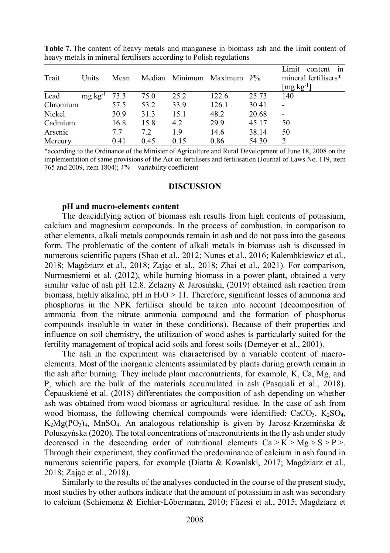| Trait    | Units           | Mean |      |      | Median Minimum Maximum $V\%$ |       | in<br>Limit<br>content<br>mineral fertilisers*<br>$[\mathrm{mg\,kg\textsuperscript{-1}}]$ |
|----------|-----------------|------|------|------|------------------------------|-------|-------------------------------------------------------------------------------------------|
| Lead     | $mg \, kg^{-1}$ | 73.3 | 75.0 | 25.2 | 122.6                        | 25.73 | 140                                                                                       |
| Chromium |                 | 57.5 | 53.2 | 33.9 | 126.1                        | 30.41 |                                                                                           |
| Nickel   |                 | 30.9 | 31.3 | 15.1 | 48.2                         | 20.68 | $\overline{\phantom{a}}$                                                                  |
| Cadmium  |                 | 16.8 | 15.8 | 4.2  | 29.9                         | 45.17 | 50                                                                                        |
| Arsenic  |                 | 7.7  | 7.2  | 1.9  | 14.6                         | 38.14 | 50                                                                                        |
| Mercury  |                 | 0.41 | 0.45 | 0.15 | 0.86                         | 54.30 | $\mathcal{L}$                                                                             |

**Table 7.** The content of heavy metals and manganese in biomass ash and the limit content of heavy metals in mineral fertilisers according to Polish regulations

\*according to the Ordinance of the Minister of Agriculture and Rural Development of June 18, 2008 on the implementation of same provisions of the Act on fertilisers and fertilisation (Journal of Laws No. 119, item 765 and 2009, item 1804); *V*% – variability coefficient

#### **DISCUSSION**

## **pH and macro-elements content**

The deacidifying action of biomass ash results from high contents of potassium, calcium and magnesium compounds. In the process of combustion, in comparison to other elements, alkali metals compounds remain in ash and do not pass into the gaseous form. The problematic of the content of alkali metals in biomass ash is discussed in numerous scientific papers (Shao et al., 2012; Nunes et al., 2016; Kalembkiewicz et al., 2018; Magdziarz et al., 2018; Zając et al., 2018; Zhai et al., 2021). For comparison, Nurmesniemi et al. (2012), while burning biomass in a power plant, obtained a very similar value of ash pH 12.8. Żelazny & Jarosiński, (2019) obtained ash reaction from biomass, highly alkaline, pH in  $H_2O > 11$ . Therefore, significant losses of ammonia and phosphorus in the NPK fertiliser should be taken into account (decomposition of ammonia from the nitrate ammonia compound and the formation of phosphorus compounds insoluble in water in these conditions). Because of their properties and influence on soil chemistry, the utilization of wood ashes is particularly suited for the fertility management of tropical acid soils and forest soils (Demeyer et al., 2001).

The ash in the experiment was characterised by a variable content of macroelements. Most of the inorganic elements assimilated by plants during growth remain in the ash after burning. They include plant macronutrients, for example, K, Ca, Mg, and P, which are the bulk of the materials accumulated in ash (Pasquali et al., 2018). Čepauskienė et al. (2018) differentiates the composition of ash depending on whether ash was obtained from wood biomass or agricultural residue. In the case of ash from wood biomass, the following chemical compounds were identified:  $CaCO<sub>3</sub>$ ,  $K<sub>2</sub>SO<sub>4</sub>$ ,  $K_2Mg(PO_3)_4$ , MnSO<sub>4</sub>. An analogous relationship is given by Jarosz-Krzemińska & Poluszyńska (2020). The total concentrations of macronutrients in the fly ash under study decreased in the descending order of nutritional elements  $Ca > K > Mg > S > P >$ . Through their experiment, they confirmed the predominance of calcium in ash found in numerous scientific papers, for example (Diatta & Kowalski, 2017; Magdziarz et al., 2018; Zając et al., 2018).

Similarly to the results of the analyses conducted in the course of the present study, most studies by other authors indicate that the amount of potassium in ash was secondary to calcium (Schiemenz & Eichler-Löbermann, 2010; Füzesi et al., 2015; Magdziarz et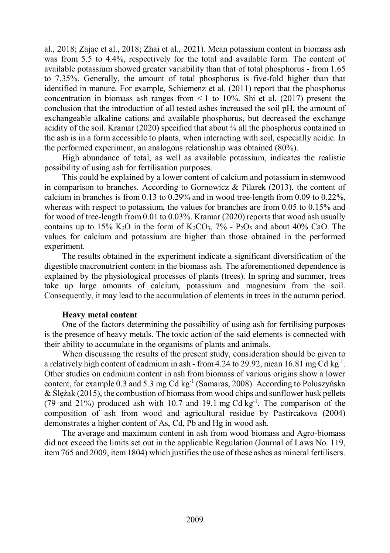al., 2018; Zając et al., 2018; Zhai et al., 2021). Mean potassium content in biomass ash was from 5.5 to 4.4%, respectively for the total and available form. The content of available potassium showed greater variability than that of total phosphorus - from 1.65 to 7.35%. Generally, the amount of total phosphorus is five-fold higher than that identified in manure. For example, Schiemenz et al. (2011) report that the phosphorus concentration in biomass ash ranges from  $\leq 1$  to 10%. Shi et al. (2017) present the conclusion that the introduction of all tested ashes increased the soil pH, the amount of exchangeable alkaline cations and available phosphorus, but decreased the exchange acidity of the soil. Kramar (2020) specified that about  $\frac{3}{4}$  all the phosphorus contained in the ash is in a form accessible to plants, when interacting with soil, especially acidic. In the performed experiment, an analogous relationship was obtained (80%).

High abundance of total, as well as available potassium, indicates the realistic possibility of using ash for fertilisation purposes.

This could be explained by a lower content of calcium and potassium in stemwood in comparison to branches. According to Gornowicz & Pilarek (2013), the content of calcium in branches is from 0.13 to 0.29% and in wood tree-length from 0.09 to 0.22%, whereas with respect to potassium, the values for branches are from 0.05 to 0.15% and for wood of tree-length from 0.01 to 0.03%. Kramar (2020) reports that wood ash usually contains up to 15% K<sub>2</sub>O in the form of K<sub>2</sub>CO<sub>3</sub>, 7% - P<sub>2</sub>O<sub>5</sub> and about 40% CaO. The values for calcium and potassium are higher than those obtained in the performed experiment.

The results obtained in the experiment indicate a significant diversification of the digestible macronutrient content in the biomass ash. The aforementioned dependence is explained by the physiological processes of plants (trees). In spring and summer, trees take up large amounts of calcium, potassium and magnesium from the soil. Consequently, it may lead to the accumulation of elements in trees in the autumn period.

## **Heavy metal content**

One of the factors determining the possibility of using ash for fertilising purposes is the presence of heavy metals. The toxic action of the said elements is connected with their ability to accumulate in the organisms of plants and animals.

When discussing the results of the present study, consideration should be given to a relatively high content of cadmium in ash - from 4.24 to 29.92, mean 16.81 mg Cd  $kg<sup>-1</sup>$ . Other studies on cadmium content in ash from biomass of various origins show a lower content, for example 0.3 and 5.3 mg Cd  $kg<sup>-1</sup>$  (Samaras, 2008). According to Poluszyńska & Ślężak (2015), the combustion of biomass from wood chips and sunflower husk pellets (79 and 21%) produced ash with 10.7 and 19.1 mg Cd kg-1. The comparison of the composition of ash from wood and agricultural residue by Pastircakova (2004) demonstrates a higher content of As, Cd, Pb and Hg in wood ash.

The average and maximum content in ash from wood biomass and Agro-biomass did not exceed the limits set out in the applicable Regulation (Journal of Laws No. 119, item 765 and 2009, item 1804) which justifies the use of these ashes as mineral fertilisers.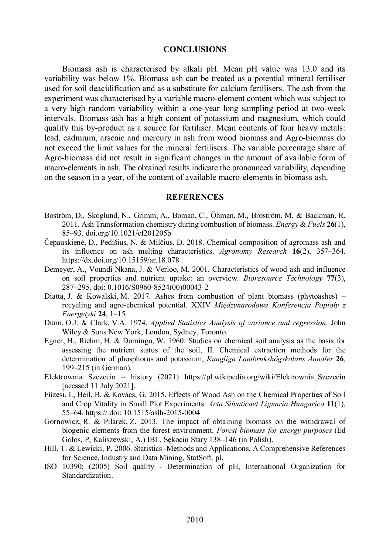## **CONCLUSIONS**

Biomass ash is characterised by alkali pH. Mean pH value was 13.0 and its variability was below 1%. Biomass ash can be treated as a potential mineral fertiliser used for soil deacidification and as a substitute for calcium fertilisers. The ash from the experiment was characterised by a variable macro-element content which was subject to a very high random variability within a one-year long sampling period at two-week intervals. Biomass ash has a high content of potassium and magnesium, which could qualify this by-product as a source for fertiliser. Mean contents of four heavy metals: lead, cadmium, arsenic and mercury in ash from wood biomass and Agro-biomass do not exceed the limit values for the mineral fertilisers. The variable percentage share of Agro-biomass did not result in significant changes in the amount of available form of macro-elements in ash. The obtained results indicate the pronounced variability, depending on the season in a year, of the content of available macro-elements in biomass ash.

## **REFERENCES**

- Boström, D., Skoglund, N., Grimm, A., Boman, C., Öhman, M., Broström, M. & Backman, R. 2011. Ash Transformation chemistry during combustion of biomass. *Energy* & *Fuels* **26**(1), 85–93. doi.org/10.1021/ef201205b
- Čepauskienė, D., Pedišius, N. & Milčius, D. 2018. Chemical composition of agromass ash and its influence on ash melting characteristics. *Agronomy Research* **16**(2), 357–364. https://dx.doi.org/10.15159/ar.18.078
- Demeyer, A., Voundi Nkana, J. & Verloo, M. 2001. Characteristics of wood ash and influence on soil properties and nutrient uptake: an overview. *Bioresource Technology* **77**(3), 287–295. doi: 0.1016/S0960-8524(00)00043-2
- Diatta, J. & Kowalski, M. 2017. Ashes from combustion of plant biomass (phytoashes) recycling and agro-chemical potential. XXIV *Międzynarodowa Konferencja Popioły z Energetyki* **24**, 1–15.
- Dunn, O.J. & Clark, V.A. 1974. *Applied Statistics Analysis of variance and regression*. John Wiley & Sons New York, London, Sydney, Toronto.
- Egner, H., Riehm, H. & Domingo, W. 1960. Studies on chemical soil analysis as the basis for assessing the nutrient status of the soil, II. Chemical extraction methods for the determination of phosphorus and potassium, *Kungliga Lantbrukshögskolans Annaler* **26**, 199–215 (in German).
- Elektrownia Szczecin history (2021) https://pl.wikipedia.org/wiki/Elektrownia\_Szczecin [accssed 11 July 2021].
- Füzesi, I., Heil, B. & Kovács, G. 2015. Effects of Wood Ash on the Chemical Properties of Soil and Crop Vitality in Small Plot Experiments. *Acta Silvaticaet Lignaria Hungarica* **11**(1), 55–64. https:// doi: 10.1515/aslh-2015-0004
- Gornowicz, R. & Pilarek, Z. 2013. The impact of obtaining biomass on the withdrawal of biogenic elements from the forest environment. *Forest biomass for energy purposes* (Ed Gołos, P, Kaliszewski, A.) IBL. Sękocin Stary 138–146 (in Polish).
- Hill, T. & Lewicki, P. 2006. Statistics -Methods and Applications, A Comprehensive References for Science, Industry and Data Mining, StatSoft. pl.
- ISO 10390: (2005) Soil quality Determination of pH, International Organization for Standardization.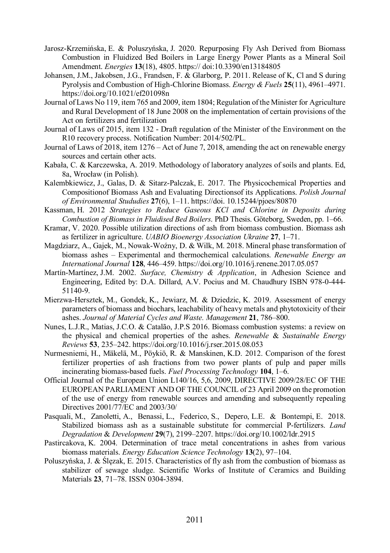- Jarosz-Krzemińska, E. & Poluszyńska, J. 2020. Repurposing Fly Ash Derived from Biomass Combustion in Fluidized Bed Boilers in Large Energy Power Plants as a Mineral Soil Amendment. *Energies* **13**(18), 4805. https:// doi:10.3390/en13184805
- Johansen, J.M., Jakobsen, J.G., Frandsen, F. & Glarborg, P. 2011. Release of K, Cl and S during Pyrolysis and Combustion of High-Chlorine Biomass. *Energy & Fuels* **25**(11), 4961–4971. https://doi.org/10.1021/ef201098n
- Journal of Laws No 119, item 765 and 2009, item 1804; Regulation of the Minister for Agriculture and Rural Development of 18 June 2008 on the implementation of certain provisions of the Act on fertilizers and fertilization
- Journal of Laws of 2015, item 132 Draft regulation of the Minister of the Environment on the R10 recovery process. Notification Number: 2014/502/PL.
- Journal of Laws of 2018, item 1276 Act of June 7, 2018, amending the act on renewable energy sources and certain other acts.
- Kabała, C. & Karczewska, A. 2019. Methodology of laboratory analyzes of soils and plants. Ed, 8a, Wrocław (in Polish).
- Kalembkiewicz, J., Galas, D. & Sitarz-Palczak, E. 2017. The Physicochemical Properties and Compositionof Biomass Ash and Evaluating Directionsof its Applications. *Polish Journal of Environmental Stududies* **27**(6), 1–11. https://doi. 10.15244/pjoes/80870
- Kassman, H. 2012 *Strategies to Reduce Gaseous KCl and Chlorine in Deposits during Combustion of Biomass in Fluidised Bed Boilers*. PhD Thesis. Göteborg, Sweden, pp. 1–66.
- Kramar, V. 2020. Possible utilization directions of ash from biomass combustion. Biomass ash as fertilizer in agriculture. *UABIO Bioenergy Association Ukraine* **27**, 1–71.
- Magdziarz, A., Gajek, M., Nowak-Woźny, D. & Wilk, M. 2018. Mineral phase transformation of biomass ashes – Experimental and thermochemical calculations. *Renewable Energy an International Journal* **128**, 446–459. https://doi.org/10.1016/j.renene.2017.05.057
- Martín-Martínez, J.M. 2002. *Surface, Chemistry & Application*, in Adhesion Science and Engineering, Edited by: D.A. Dillard, A.V. Pocius and M. Chaudhury ISBN 978-0-444- 51140-9.
- Mierzwa-Hersztek, M., Gondek, K., Jewiarz, M. & Dziedzic, K. 2019. Assessment of energy parameters of biomass and biochars, leachability of heavy metals and phytotoxicity of their ashes. *Journal of Material Cycles and Waste. Management* **21**, 786–800.
- Nunes, L.J.R., Matias, J.C.O. & Catalão, J.P.S 2016. Biomass combustion systems: a review on the physical and chemical properties of the ashes. *Renewable* & *Sustainable Energy Reviews* **53**, 235–242. https://doi.org/10.1016/j.rser.2015.08.053
- Nurmesniemi, H., Mäkelä, M., Pöykiö, R. & Manskinen, K.D. 2012. Comparison of the forest fertilizer properties of ash fractions from two power plants of pulp and paper mills incinerating biomass-based fuels. *Fuel Processing Technology* **104**, 1–6.
- Official Journal of the European Union L140/16, 5,6, 2009, DIRECTIVE 2009/28/EC OF THE EUROPEAN PARLIAMENT AND OF THE COUNCIL of 23 April 2009 on the promotion of the use of energy from renewable sources and amending and subsequently repealing Directives 2001/77/EC and 2003/30/
- Pasquali, M., Zanoletti, A., Benassi, L., Federico, S., Depero, L.E. & Bontempi, E. 2018. Stabilized biomass ash as a sustainable substitute for commercial P‐fertilizers. *Land Degradation* & *Development* **29**(7), 2199–2207. https://doi.org/10.1002/ldr.2915
- Pastircakova, K. 2004. Determination of trace metal concentrations in ashes from various biomass materials. *Energy Education Science Technology* **13**(2), 97–104.
- Poluszyńska, J. & Ślęzak, E. 2015. Characteristics of fly ash from the combustion of biomass as stabilizer of sewage sludge. Scientific Works of Institute of Ceramics and Building Materials **23**, 71–78. ISSN 0304-3894.